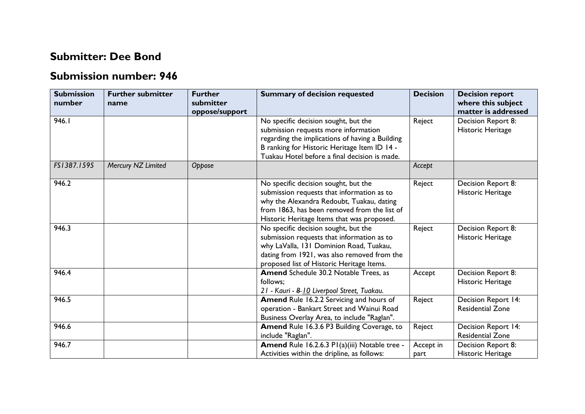## **Submitter: Dee Bond**

## **Submission number: 946**

| <b>Submission</b><br>number | <b>Further submitter</b><br>name | <b>Further</b><br>submitter<br>oppose/support | <b>Summary of decision requested</b>                                                                                                                                                                                             | <b>Decision</b>   | <b>Decision report</b><br>where this subject<br>matter is addressed |
|-----------------------------|----------------------------------|-----------------------------------------------|----------------------------------------------------------------------------------------------------------------------------------------------------------------------------------------------------------------------------------|-------------------|---------------------------------------------------------------------|
| 946.1                       |                                  |                                               | No specific decision sought, but the<br>submission requests more information<br>regarding the implications of having a Building<br>B ranking for Historic Heritage Item ID 14 -<br>Tuakau Hotel before a final decision is made. | Reject            | Decision Report 8:<br>Historic Heritage                             |
| FS1387.1595                 | Mercury NZ Limited               | Oppose                                        |                                                                                                                                                                                                                                  | Accept            |                                                                     |
| 946.2                       |                                  |                                               | No specific decision sought, but the<br>submission requests that information as to<br>why the Alexandra Redoubt, Tuakau, dating<br>from 1863, has been removed from the list of<br>Historic Heritage Items that was proposed.    | Reject            | Decision Report 8:<br>Historic Heritage                             |
| 946.3                       |                                  |                                               | No specific decision sought, but the<br>submission requests that information as to<br>why LaValla, 131 Dominion Road, Tuakau,<br>dating from 1921, was also removed from the<br>proposed list of Historic Heritage Items.        | Reject            | Decision Report 8:<br>Historic Heritage                             |
| 946.4                       |                                  |                                               | Amend Schedule 30.2 Notable Trees, as<br>follows;<br>21 - Kauri - 8-10 Liverpool Street, Tuakau.                                                                                                                                 | Accept            | Decision Report 8:<br>Historic Heritage                             |
| 946.5                       |                                  |                                               | Amend Rule 16.2.2 Servicing and hours of<br>operation - Bankart Street and Wainui Road<br>Business Overlay Area, to include "Raglan".                                                                                            | Reject            | Decision Report 14:<br><b>Residential Zone</b>                      |
| 946.6                       |                                  |                                               | Amend Rule 16.3.6 P3 Building Coverage, to<br>include "Raglan".                                                                                                                                                                  | Reject            | Decision Report 14:<br><b>Residential Zone</b>                      |
| 946.7                       |                                  |                                               | Amend Rule 16.2.6.3 PI(a)(iii) Notable tree -<br>Activities within the dripline, as follows:                                                                                                                                     | Accept in<br>part | Decision Report 8:<br>Historic Heritage                             |